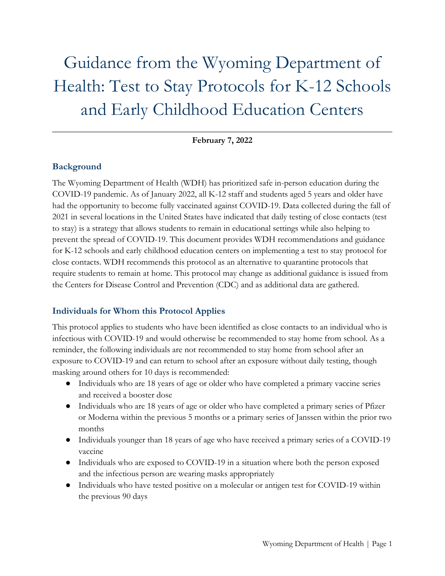# Guidance from the Wyoming Department of Health: Test to Stay Protocols for K-12 Schools and Early Childhood Education Centers

#### **February 7, 2022**

## **Background**

The Wyoming Department of Health (WDH) has prioritized safe in-person education during the COVID-19 pandemic. As of January 2022, all K-12 staff and students aged 5 years and older have had the opportunity to become fully vaccinated against COVID-19. Data collected during the fall of 2021 in several locations in the United States have indicated that daily testing of close contacts (test to stay) is a strategy that allows students to remain in educational settings while also helping to prevent the spread of COVID-19. This document provides WDH recommendations and guidance for K-12 schools and early childhood education centers on implementing a test to stay protocol for close contacts. WDH recommends this protocol as an alternative to quarantine protocols that require students to remain at home. This protocol may change as additional guidance is issued from the Centers for Disease Control and Prevention (CDC) and as additional data are gathered.

### **Individuals for Whom this Protocol Applies**

This protocol applies to students who have been identified as close contacts to an individual who is infectious with COVID-19 and would otherwise be recommended to stay home from school. As a reminder, the following individuals are not recommended to stay home from school after an exposure to COVID-19 and can return to school after an exposure without daily testing, though masking around others for 10 days is recommended:

- Individuals who are 18 years of age or older who have completed a primary vaccine series and received a booster dose
- Individuals who are 18 years of age or older who have completed a primary series of Pfizer or Moderna within the previous 5 months or a primary series of Janssen within the prior two months
- Individuals younger than 18 years of age who have received a primary series of a COVID-19 vaccine
- Individuals who are exposed to COVID-19 in a situation where both the person exposed and the infectious person are wearing masks appropriately
- Individuals who have tested positive on a molecular or antigen test for COVID-19 within the previous 90 days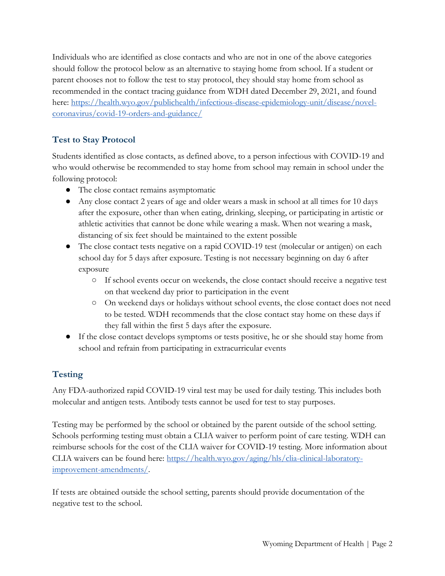Individuals who are identified as close contacts and who are not in one of the above categories should follow the protocol below as an alternative to staying home from school. If a student or parent chooses not to follow the test to stay protocol, they should stay home from school as recommended in the contact tracing guidance from WDH dated December 29, 2021, and found here: [https://health.wyo.gov/publichealth/infectious-disease-epidemiology-unit/disease/novel](https://health.wyo.gov/publichealth/infectious-disease-epidemiology-unit/disease/novel-coronavirus/covid-19-orders-and-guidance/)[coronavirus/covid-19-orders-and-guidance/](https://health.wyo.gov/publichealth/infectious-disease-epidemiology-unit/disease/novel-coronavirus/covid-19-orders-and-guidance/)

# **Test to Stay Protocol**

Students identified as close contacts, as defined above, to a person infectious with COVID-19 and who would otherwise be recommended to stay home from school may remain in school under the following protocol:

- The close contact remains asymptomatic
- Any close contact 2 years of age and older wears a mask in school at all times for 10 days after the exposure, other than when eating, drinking, sleeping, or participating in artistic or athletic activities that cannot be done while wearing a mask. When not wearing a mask, distancing of six feet should be maintained to the extent possible
- The close contact tests negative on a rapid COVID-19 test (molecular or antigen) on each school day for 5 days after exposure. Testing is not necessary beginning on day 6 after exposure
	- If school events occur on weekends, the close contact should receive a negative test on that weekend day prior to participation in the event
	- On weekend days or holidays without school events, the close contact does not need to be tested. WDH recommends that the close contact stay home on these days if they fall within the first 5 days after the exposure.
- If the close contact develops symptoms or tests positive, he or she should stay home from school and refrain from participating in extracurricular events

# **Testing**

Any FDA-authorized rapid COVID-19 viral test may be used for daily testing. This includes both molecular and antigen tests. Antibody tests cannot be used for test to stay purposes.

Testing may be performed by the school or obtained by the parent outside of the school setting. Schools performing testing must obtain a CLIA waiver to perform point of care testing. WDH can reimburse schools for the cost of the CLIA waiver for COVID-19 testing. More information about CLIA waivers can be found here: [https://health.wyo.gov/aging/hls/clia-clinical-laboratory](https://health.wyo.gov/aging/hls/clia-clinical-laboratory-improvement-amendments/)[improvement-amendments/.](https://health.wyo.gov/aging/hls/clia-clinical-laboratory-improvement-amendments/)

If tests are obtained outside the school setting, parents should provide documentation of the negative test to the school.